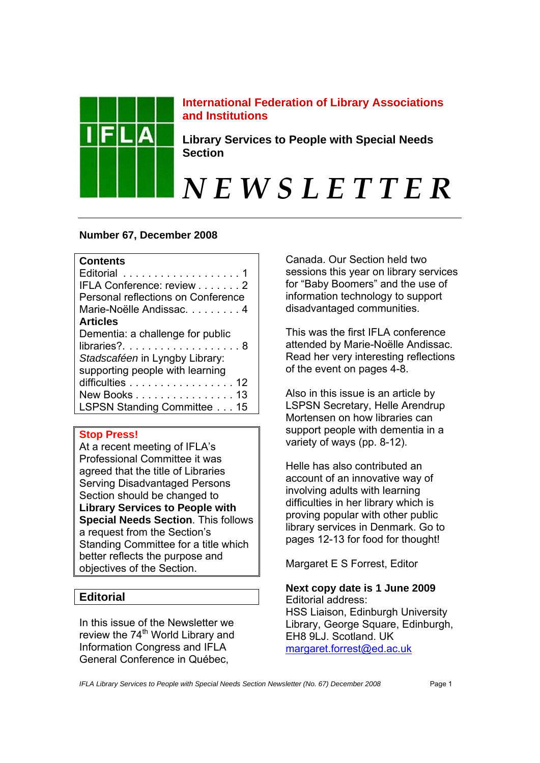

# **International Federation of Library Associations and Institutions**

**Library Services to People with Special Needs Section** 

*N E W S L E T T E R* 

# **Number 67, December 2008**

# **Contents**

| Editorial 1                                       |
|---------------------------------------------------|
| IFLA Conference: review 2                         |
| Personal reflections on Conference                |
| Marie-Noëlle Andissac. 4                          |
| <b>Articles</b>                                   |
| Dementia: a challenge for public                  |
|                                                   |
| Stadscaféen in Lyngby Library:                    |
| supporting people with learning                   |
| difficulties $\ldots \ldots \ldots \ldots \ldots$ |
| New Books 13                                      |
| LSPSN Standing Committee 15                       |

# **Stop Press!**

At a recent meeting of IFLA's Professional Committee it was agreed that the title of Libraries Serving Disadvantaged Persons Section should be changed to **Library Services to People with Special Needs Section**. This follows a request from the Section's Standing Committee for a title which better reflects the purpose and objectives of the Section.

# **Editorial**

In this issue of the Newsletter we review the 74<sup>th</sup> World Library and Information Congress and IFLA General Conference in Québec,

Canada. Our Section held two sessions this year on library services for "Baby Boomers" and the use of information technology to support disadvantaged communities.

This was the first IFLA conference attended by Marie-Noëlle Andissac. Read her very interesting reflections of the event on pages 4-8.

Also in this issue is an article by LSPSN Secretary, Helle Arendrup Mortensen on how libraries can support people with dementia in a variety of ways (pp. 8-12).

Helle has also contributed an account of an innovative way of involving adults with learning difficulties in her library which is proving popular with other public library services in Denmark. Go to pages 12-13 for food for thought!

Margaret E S Forrest, Editor

**Next copy date is 1 June 2009**  Editorial address: HSS Liaison, Edinburgh University Library, George Square, Edinburgh, EH8 9LJ. Scotland. UK margaret.forrest@ed.ac.uk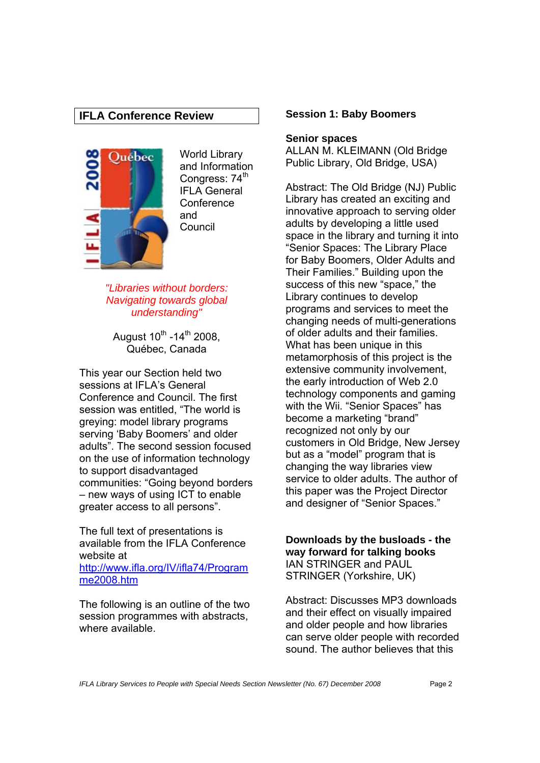# **IFLA Conference Review**



World Library and Information Congress: 74<sup>th</sup> IFLA General **Conference** and **Council** 

*"Libraries without borders: Navigating towards global understanding"* 

August  $10^{th}$  -14<sup>th</sup> 2008, Québec, Canada

This year our Section held two sessions at IFLA's General Conference and Council. The first session was entitled, "The world is greying: model library programs serving 'Baby Boomers' and older adults". The second session focused on the use of information technology to support disadvantaged communities: "Going beyond borders – new ways of using ICT to enable greater access to all persons".

The full text of presentations is available from the IFLA Conference website at http://www.ifla.org/IV/ifla74/Program me2008.htm

The following is an outline of the two session programmes with abstracts, where available.

#### **Session 1: Baby Boomers**

#### **Senior spaces**

ALLAN M. KLEIMANN (Old Bridge Public Library, Old Bridge, USA)

Abstract: The Old Bridge (NJ) Public Library has created an exciting and innovative approach to serving older adults by developing a little used space in the library and turning it into "Senior Spaces: The Library Place for Baby Boomers, Older Adults and Their Families." Building upon the success of this new "space," the Library continues to develop programs and services to meet the changing needs of multi-generations of older adults and their families. What has been unique in this metamorphosis of this project is the extensive community involvement, the early introduction of Web 2.0 technology components and gaming with the Wii. "Senior Spaces" has become a marketing "brand" recognized not only by our customers in Old Bridge, New Jersey but as a "model" program that is changing the way libraries view service to older adults. The author of this paper was the Project Director and designer of "Senior Spaces."

**Downloads by the busloads - the way forward for talking books**  IAN STRINGER and PAUL STRINGER (Yorkshire, UK)

Abstract: Discusses MP3 downloads and their effect on visually impaired and older people and how libraries can serve older people with recorded sound. The author believes that this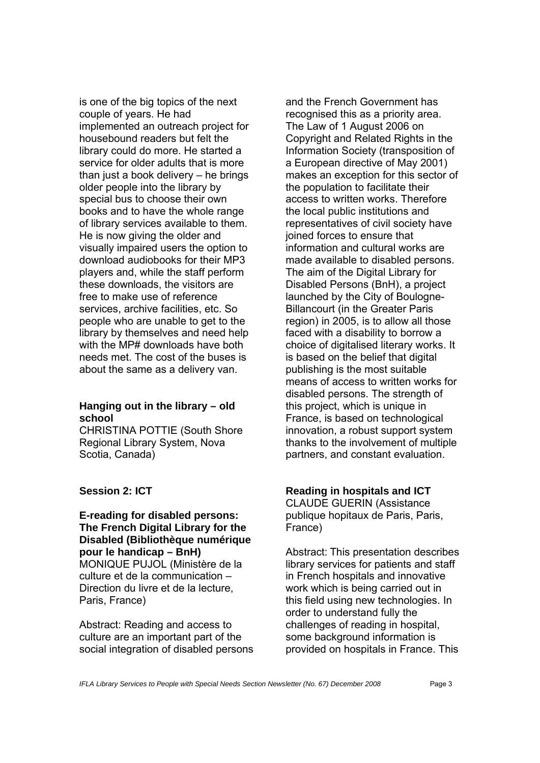is one of the big topics of the next couple of years. He had implemented an outreach project for housebound readers but felt the library could do more. He started a service for older adults that is more than just a book delivery  $-$  he brings older people into the library by special bus to choose their own books and to have the whole range of library services available to them. He is now giving the older and visually impaired users the option to download audiobooks for their MP3 players and, while the staff perform these downloads, the visitors are free to make use of reference services, archive facilities, etc. So people who are unable to get to the library by themselves and need help with the MP# downloads have both needs met. The cost of the buses is about the same as a delivery van.

#### **Hanging out in the library – old school**

CHRISTINA POTTIE (South Shore Regional Library System, Nova Scotia, Canada)

# **Session 2: ICT**

**E-reading for disabled persons: The French Digital Library for the Disabled (Bibliothèque numérique pour le handicap – BnH)**  MONIQUE PUJOL (Ministère de la culture et de la communication – Direction du livre et de la lecture, Paris, France)

Abstract: Reading and access to culture are an important part of the social integration of disabled persons

and the French Government has recognised this as a priority area. The Law of 1 August 2006 on Copyright and Related Rights in the Information Society (transposition of a European directive of May 2001) makes an exception for this sector of the population to facilitate their access to written works. Therefore the local public institutions and representatives of civil society have joined forces to ensure that information and cultural works are made available to disabled persons. The aim of the Digital Library for Disabled Persons (BnH), a project launched by the City of Boulogne-Billancourt (in the Greater Paris region) in 2005, is to allow all those faced with a disability to borrow a choice of digitalised literary works. It is based on the belief that digital publishing is the most suitable means of access to written works for disabled persons. The strength of this project, which is unique in France, is based on technological innovation, a robust support system thanks to the involvement of multiple partners, and constant evaluation.

# **Reading in hospitals and ICT**

CLAUDE GUERIN (Assistance publique hopitaux de Paris, Paris, France)

Abstract: This presentation describes library services for patients and staff in French hospitals and innovative work which is being carried out in this field using new technologies. In order to understand fully the challenges of reading in hospital, some background information is provided on hospitals in France. This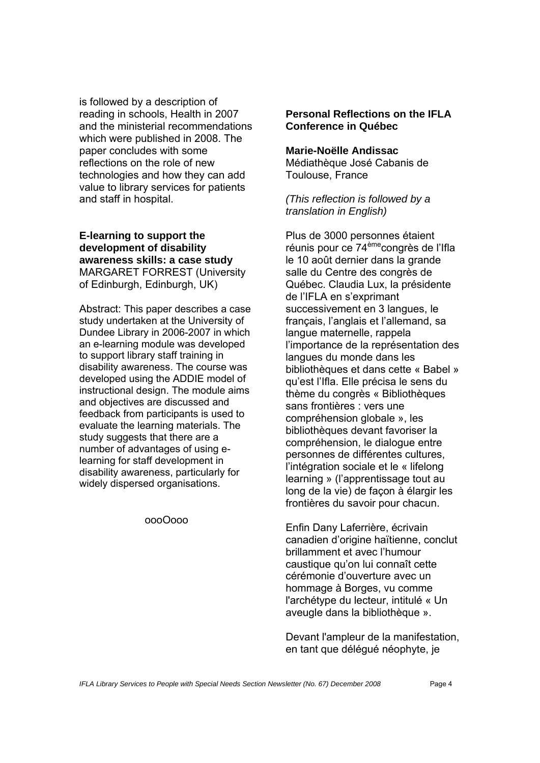is followed by a description of reading in schools, Health in 2007 and the ministerial recommendations which were published in 2008. The paper concludes with some reflections on the role of new technologies and how they can add value to library services for patients and staff in hospital.

# **E-learning to support the development of disability awareness skills: a case study**  MARGARET FORREST (University of Edinburgh, Edinburgh, UK)

Abstract: This paper describes a case study undertaken at the University of Dundee Library in 2006-2007 in which an e-learning module was developed to support library staff training in disability awareness. The course was developed using the ADDIE model of instructional design. The module aims and objectives are discussed and feedback from participants is used to evaluate the learning materials. The study suggests that there are a number of advantages of using elearning for staff development in disability awareness, particularly for widely dispersed organisations.

#### oooOooo

# **Personal Reflections on the IFLA Conference in Québec**

#### **Marie-Noëlle Andissac**

Médiathèque José Cabanis de Toulouse, France

*(This reflection is followed by a translation in English)* 

Plus de 3000 personnes étaient réunis pour ce 74<sup>ème</sup>congrès de l'Ifla le 10 août dernier dans la grande salle du Centre des congrès de Québec. Claudia Lux, la présidente de l'IFLA en s'exprimant successivement en 3 langues, le français, l'anglais et l'allemand, sa langue maternelle, rappela l'importance de la représentation des langues du monde dans les bibliothèques et dans cette « Babel » qu'est l'Ifla. Elle précisa le sens du thème du congrès « Bibliothèques sans frontières : vers une compréhension globale », les bibliothèques devant favoriser la compréhension, le dialogue entre personnes de différentes cultures, l'intégration sociale et le « lifelong learning » (l'apprentissage tout au long de la vie) de façon à élargir les frontières du savoir pour chacun.

Enfin Dany Laferrière, écrivain canadien d'origine haïtienne, conclut brillamment et avec l'humour caustique qu'on lui connaît cette cérémonie d'ouverture avec un hommage à Borges, vu comme l'archétype du lecteur, intitulé « Un aveugle dans la bibliothèque ».

Devant l'ampleur de la manifestation, en tant que délégué néophyte, je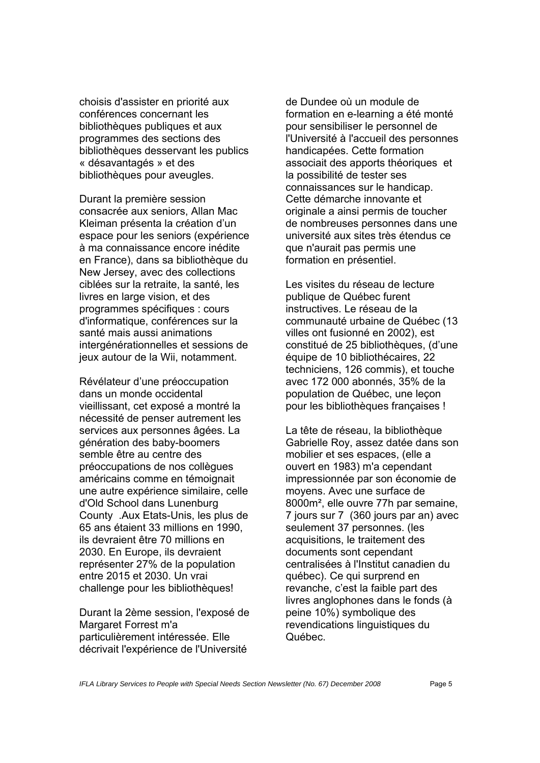choisis d'assister en priorité aux conférences concernant les bibliothèques publiques et aux programmes des sections des bibliothèques desservant les publics « désavantagés » et des bibliothèques pour aveugles.

Durant la première session consacrée aux seniors, Allan Mac Kleiman présenta la création d'un espace pour les seniors (expérience à ma connaissance encore inédite en France), dans sa bibliothèque du New Jersey, avec des collections ciblées sur la retraite, la santé, les livres en large vision, et des programmes spécifiques : cours d'informatique, conférences sur la santé mais aussi animations intergénérationnelles et sessions de jeux autour de la Wii, notamment.

Révélateur d'une préoccupation dans un monde occidental vieillissant, cet exposé a montré la nécessité de penser autrement les services aux personnes âgées. La génération des baby-boomers semble être au centre des préoccupations de nos collègues américains comme en témoignait une autre expérience similaire, celle d'Old School dans Lunenburg County .Aux Etats-Unis, les plus de 65 ans étaient 33 millions en 1990, ils devraient être 70 millions en 2030. En Europe, ils devraient représenter 27% de la population entre 2015 et 2030. Un vrai challenge pour les bibliothèques!

Durant la 2ème session, l'exposé de Margaret Forrest m'a particulièrement intéressée. Elle décrivait l'expérience de l'Université

de Dundee où un module de formation en e-learning a été monté pour sensibiliser le personnel de l'Université à l'accueil des personnes handicapées. Cette formation associait des apports théoriques et la possibilité de tester ses connaissances sur le handicap. Cette démarche innovante et originale a ainsi permis de toucher de nombreuses personnes dans une université aux sites très étendus ce que n'aurait pas permis une formation en présentiel.

Les visites du réseau de lecture publique de Québec furent instructives. Le réseau de la communauté urbaine de Québec (13 villes ont fusionné en 2002), est constitué de 25 bibliothèques, (d'une équipe de 10 bibliothécaires, 22 techniciens, 126 commis), et touche avec 172 000 abonnés, 35% de la population de Québec, une leçon pour les bibliothèques françaises !

La tête de réseau, la bibliothèque Gabrielle Roy, assez datée dans son mobilier et ses espaces, (elle a ouvert en 1983) m'a cependant impressionnée par son économie de moyens. Avec une surface de 8000m², elle ouvre 77h par semaine, 7 jours sur 7 (360 jours par an) avec seulement 37 personnes. (les acquisitions, le traitement des documents sont cependant centralisées à l'Institut canadien du québec). Ce qui surprend en revanche, c'est la faible part des livres anglophones dans le fonds (à peine 10%) symbolique des revendications linguistiques du Québec.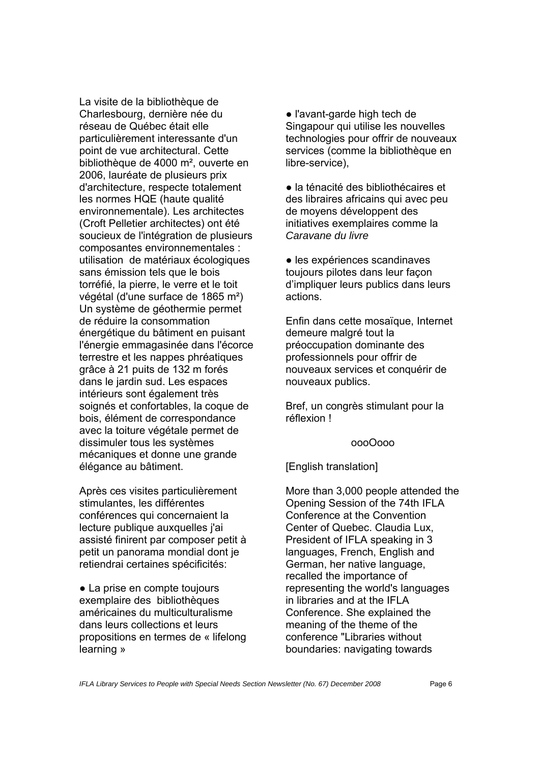La visite de la bibliothèque de Charlesbourg, dernière née du réseau de Québec était elle particulièrement interessante d'un point de vue architectural. Cette bibliothèque de 4000 m², ouverte en 2006, lauréate de plusieurs prix d'architecture, respecte totalement les normes HQE (haute qualité environnementale). Les architectes (Croft Pelletier architectes) ont été soucieux de l'intégration de plusieurs composantes environnementales : utilisation de matériaux écologiques sans émission tels que le bois torréfié, la pierre, le verre et le toit végétal (d'une surface de 1865 m²) Un système de géothermie permet de réduire la consommation énergétique du bâtiment en puisant l'énergie emmagasinée dans l'écorce terrestre et les nappes phréatiques grâce à 21 puits de 132 m forés dans le jardin sud. Les espaces intérieurs sont également très soignés et confortables, la coque de bois, élément de correspondance avec la toiture végétale permet de dissimuler tous les systèmes mécaniques et donne une grande élégance au bâtiment.

Après ces visites particulièrement stimulantes, les différentes conférences qui concernaient la lecture publique auxquelles j'ai assisté finirent par composer petit à petit un panorama mondial dont je retiendrai certaines spécificités:

• La prise en compte toujours exemplaire des bibliothèques américaines du multiculturalisme dans leurs collections et leurs propositions en termes de « lifelong learning »

● l'avant-garde high tech de Singapour qui utilise les nouvelles technologies pour offrir de nouveaux services (comme la bibliothèque en libre-service),

● la ténacité des bibliothécaires et des libraires africains qui avec peu de moyens développent des initiatives exemplaires comme la *Caravane du livre* 

● les expériences scandinaves toujours pilotes dans leur façon d'impliquer leurs publics dans leurs actions.

Enfin dans cette mosaïque, Internet demeure malgré tout la préoccupation dominante des professionnels pour offrir de nouveaux services et conquérir de nouveaux publics.

Bref, un congrès stimulant pour la réflexion !

#### oooOooo

#### [English translation]

More than 3,000 people attended the Opening Session of the 74th IFLA Conference at the Convention Center of Quebec. Claudia Lux, President of IFLA speaking in 3 languages, French, English and German, her native language, recalled the importance of representing the world's languages in libraries and at the IFLA Conference. She explained the meaning of the theme of the conference "Libraries without boundaries: navigating towards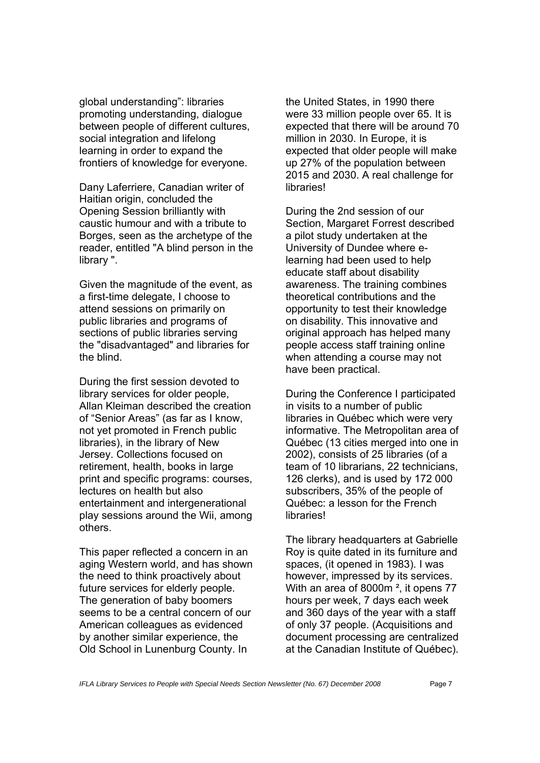global understanding": libraries promoting understanding, dialogue between people of different cultures. social integration and lifelong learning in order to expand the frontiers of knowledge for everyone.

Dany Laferriere, Canadian writer of Haitian origin, concluded the Opening Session brilliantly with caustic humour and with a tribute to Borges, seen as the archetype of the reader, entitled "A blind person in the library ".

Given the magnitude of the event, as a first-time delegate, I choose to attend sessions on primarily on public libraries and programs of sections of public libraries serving the "disadvantaged" and libraries for the blind.

During the first session devoted to library services for older people, Allan Kleiman described the creation of "Senior Areas" (as far as I know, not yet promoted in French public libraries), in the library of New Jersey. Collections focused on retirement, health, books in large print and specific programs: courses, lectures on health but also entertainment and intergenerational play sessions around the Wii, among others.

This paper reflected a concern in an aging Western world, and has shown the need to think proactively about future services for elderly people. The generation of baby boomers seems to be a central concern of our American colleagues as evidenced by another similar experience, the Old School in Lunenburg County. In

the United States, in 1990 there were 33 million people over 65. It is expected that there will be around 70 million in 2030. In Europe, it is expected that older people will make up 27% of the population between 2015 and 2030. A real challenge for libraries!

During the 2nd session of our Section, Margaret Forrest described a pilot study undertaken at the University of Dundee where elearning had been used to help educate staff about disability awareness. The training combines theoretical contributions and the opportunity to test their knowledge on disability. This innovative and original approach has helped many people access staff training online when attending a course may not have been practical.

During the Conference I participated in visits to a number of public libraries in Québec which were very informative. The Metropolitan area of Québec (13 cities merged into one in 2002), consists of 25 libraries (of a team of 10 librarians, 22 technicians, 126 clerks), and is used by 172 000 subscribers, 35% of the people of Québec: a lesson for the French libraries!

The library headquarters at Gabrielle Roy is quite dated in its furniture and spaces, (it opened in 1983). I was however, impressed by its services. With an area of 8000m<sup>2</sup>, it opens 77 hours per week, 7 days each week and 360 days of the year with a staff of only 37 people. (Acquisitions and document processing are centralized at the Canadian Institute of Québec).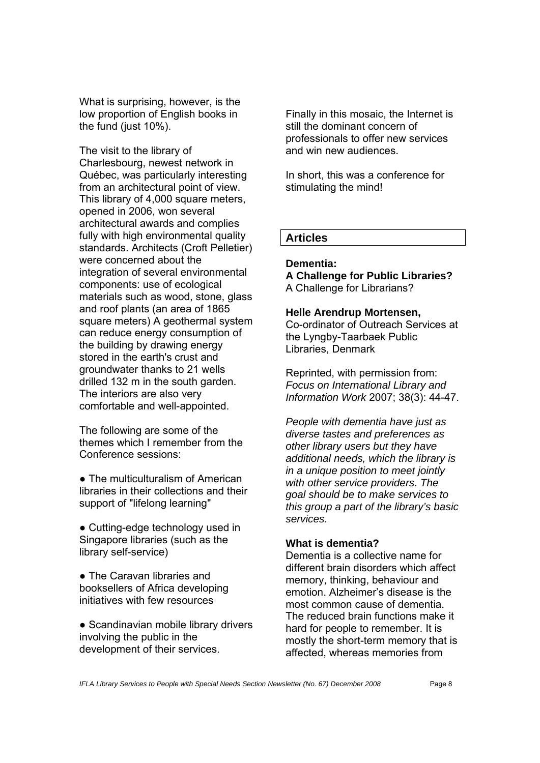What is surprising, however, is the low proportion of English books in the fund (just  $10\%$ ).

The visit to the library of Charlesbourg, newest network in Québec, was particularly interesting from an architectural point of view. This library of 4,000 square meters, opened in 2006, won several architectural awards and complies fully with high environmental quality standards. Architects (Croft Pelletier) were concerned about the integration of several environmental components: use of ecological materials such as wood, stone, glass and roof plants (an area of 1865 square meters) A geothermal system can reduce energy consumption of the building by drawing energy stored in the earth's crust and groundwater thanks to 21 wells drilled 132 m in the south garden. The interiors are also very comfortable and well-appointed.

The following are some of the themes which I remember from the Conference sessions:

• The multiculturalism of American libraries in their collections and their support of "lifelong learning"

• Cutting-edge technology used in Singapore libraries (such as the library self-service)

● The Caravan libraries and booksellers of Africa developing initiatives with few resources

• Scandinavian mobile library drivers involving the public in the development of their services.

Finally in this mosaic, the Internet is still the dominant concern of professionals to offer new services and win new audiences.

In short, this was a conference for stimulating the mind!

# **Articles**

#### **Dementia:**

**A Challenge for Public Libraries?**  A Challenge for Librarians?

#### **Helle Arendrup Mortensen,**

Co-ordinator of Outreach Services at the Lyngby-Taarbaek Public Libraries, Denmark

Reprinted, with permission from: *Focus on International Library and Information Work* 2007; 38(3): 44-47.

*People with dementia have just as diverse tastes and preferences as other library users but they have additional needs, which the library is in a unique position to meet jointly with other service providers. The goal should be to make services to this group a part of the library's basic services.*

#### **What is dementia?**

Dementia is a collective name for different brain disorders which affect memory, thinking, behaviour and emotion. Alzheimer's disease is the most common cause of dementia. The reduced brain functions make it hard for people to remember. It is mostly the short-term memory that is affected, whereas memories from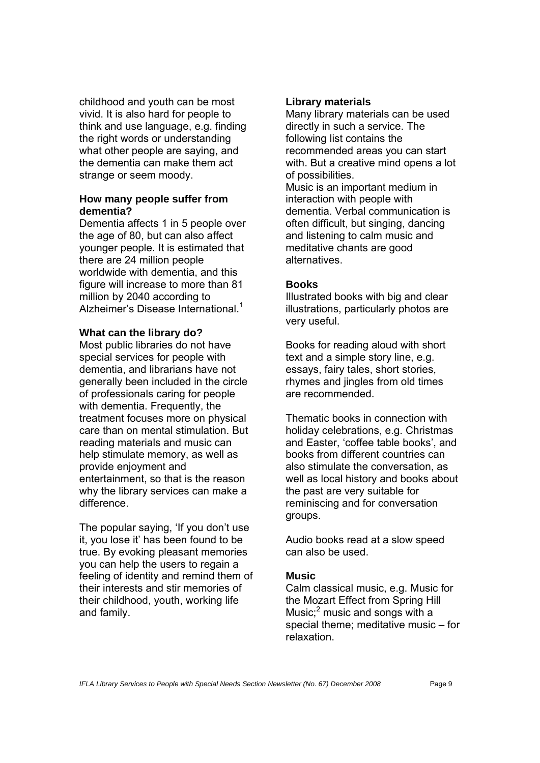childhood and youth can be most vivid. It is also hard for people to think and use language, e.g. finding the right words or understanding what other people are saying, and the dementia can make them act strange or seem moody.

#### **How many people suffer from dementia?**

Dementia affects 1 in 5 people over the age of 80, but can also affect younger people. It is estimated that there are 24 million people worldwide with dementia, and this figure will increase to more than 81 million by 2040 according to Alzheimer's Disease International.<sup>1</sup>

#### **What can the library do?**

Most public libraries do not have special services for people with dementia, and librarians have not generally been included in the circle of professionals caring for people with dementia. Frequently, the treatment focuses more on physical care than on mental stimulation. But reading materials and music can help stimulate memory, as well as provide enjoyment and entertainment, so that is the reason why the library services can make a difference.

The popular saying, 'If you don't use it, you lose it' has been found to be true. By evoking pleasant memories you can help the users to regain a feeling of identity and remind them of their interests and stir memories of their childhood, youth, working life and family.

# **Library materials**

Many library materials can be used directly in such a service. The following list contains the recommended areas you can start with. But a creative mind opens a lot of possibilities.

Music is an important medium in interaction with people with dementia. Verbal communication is often difficult, but singing, dancing and listening to calm music and meditative chants are good alternatives.

# **Books**

Illustrated books with big and clear illustrations, particularly photos are very useful.

Books for reading aloud with short text and a simple story line, e.g. essays, fairy tales, short stories, rhymes and jingles from old times are recommended.

Thematic books in connection with holiday celebrations, e.g. Christmas and Easter, 'coffee table books', and books from different countries can also stimulate the conversation, as well as local history and books about the past are very suitable for reminiscing and for conversation groups.

Audio books read at a slow speed can also be used.

# **Music**

Calm classical music, e.g. Music for the Mozart Effect from Spring Hill Music;<sup>2</sup> music and songs with a special theme; meditative music – for relaxation.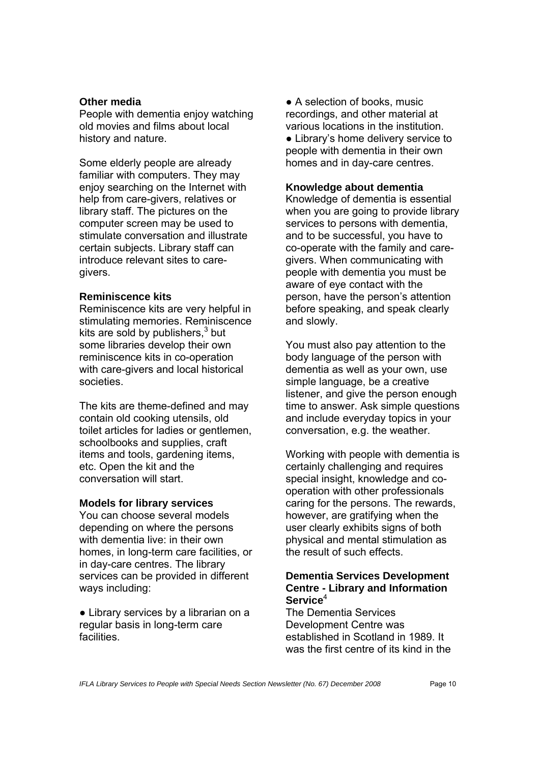#### **Other media**

People with dementia enjoy watching old movies and films about local history and nature.

Some elderly people are already familiar with computers. They may enjoy searching on the Internet with help from care-givers, relatives or library staff. The pictures on the computer screen may be used to stimulate conversation and illustrate certain subjects. Library staff can introduce relevant sites to caregivers.

#### **Reminiscence kits**

Reminiscence kits are very helpful in stimulating memories. Reminiscence kits are sold by publishers, $3$  but some libraries develop their own reminiscence kits in co-operation with care-givers and local historical societies.

The kits are theme-defined and may contain old cooking utensils, old toilet articles for ladies or gentlemen, schoolbooks and supplies, craft items and tools, gardening items, etc. Open the kit and the conversation will start.

#### **Models for library services**

You can choose several models depending on where the persons with dementia live: in their own homes, in long-term care facilities, or in day-care centres. The library services can be provided in different ways including:

• Library services by a librarian on a regular basis in long-term care facilities.

• A selection of books, music recordings, and other material at various locations in the institution. • Library's home delivery service to people with dementia in their own homes and in day-care centres.

#### **Knowledge about dementia**

Knowledge of dementia is essential when you are going to provide library services to persons with dementia, and to be successful, you have to co-operate with the family and caregivers. When communicating with people with dementia you must be aware of eye contact with the person, have the person's attention before speaking, and speak clearly and slowly.

You must also pay attention to the body language of the person with dementia as well as your own, use simple language, be a creative listener, and give the person enough time to answer. Ask simple questions and include everyday topics in your conversation, e.g. the weather.

Working with people with dementia is certainly challenging and requires special insight, knowledge and cooperation with other professionals caring for the persons. The rewards, however, are gratifying when the user clearly exhibits signs of both physical and mental stimulation as the result of such effects.

# **Dementia Services Development Centre - Library and Information Service**<sup>4</sup>

The Dementia Services Development Centre was established in Scotland in 1989. It was the first centre of its kind in the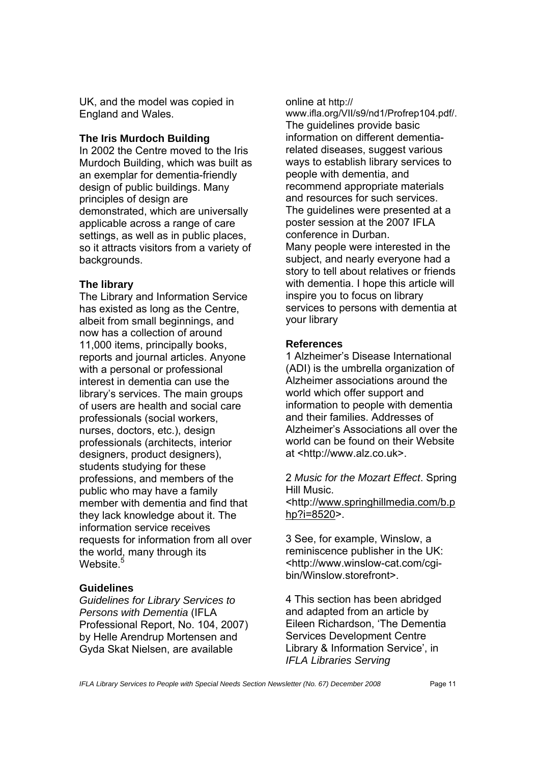UK, and the model was copied in England and Wales.

# **The Iris Murdoch Building**

In 2002 the Centre moved to the Iris Murdoch Building, which was built as an exemplar for dementia-friendly design of public buildings. Many principles of design are demonstrated, which are universally applicable across a range of care settings, as well as in public places, so it attracts visitors from a variety of backgrounds.

# **The library**

The Library and Information Service has existed as long as the Centre, albeit from small beginnings, and now has a collection of around 11,000 items, principally books, reports and journal articles. Anyone with a personal or professional interest in dementia can use the library's services. The main groups of users are health and social care professionals (social workers, nurses, doctors, etc.), design professionals (architects, interior designers, product designers), students studying for these professions, and members of the public who may have a family member with dementia and find that they lack knowledge about it. The information service receives requests for information from all over the world, many through its Website.<sup>5</sup>

# **Guidelines**

*Guidelines for Library Services to Persons with Dementia* (IFLA Professional Report, No. 104, 2007) by Helle Arendrup Mortensen and Gyda Skat Nielsen, are available

online at http://

www.ifla.org/VII/s9/nd1/Profrep104.pdf/. The guidelines provide basic information on different dementiarelated diseases, suggest various ways to establish library services to people with dementia, and recommend appropriate materials and resources for such services. The guidelines were presented at a poster session at the 2007 IFLA conference in Durban. Many people were interested in the subject, and nearly everyone had a story to tell about relatives or friends with dementia. I hope this article will inspire you to focus on library services to persons with dementia at your library

# **References**

1 Alzheimer's Disease International (ADI) is the umbrella organization of Alzheimer associations around the world which offer support and information to people with dementia and their families. Addresses of Alzheimer's Associations all over the world can be found on their Website at <http://www.alz.co.uk>.

#### 2 *Music for the Mozart Effect*. Spring Hill Music.

<http://www.springhillmedia.com/b.p hp?i=8520>.

3 See, for example, Winslow, a reminiscence publisher in the UK: <http://www.winslow-cat.com/cgibin/Winslow.storefront>.

4 This section has been abridged and adapted from an article by Eileen Richardson, 'The Dementia Services Development Centre Library & Information Service', in *IFLA Libraries Serving*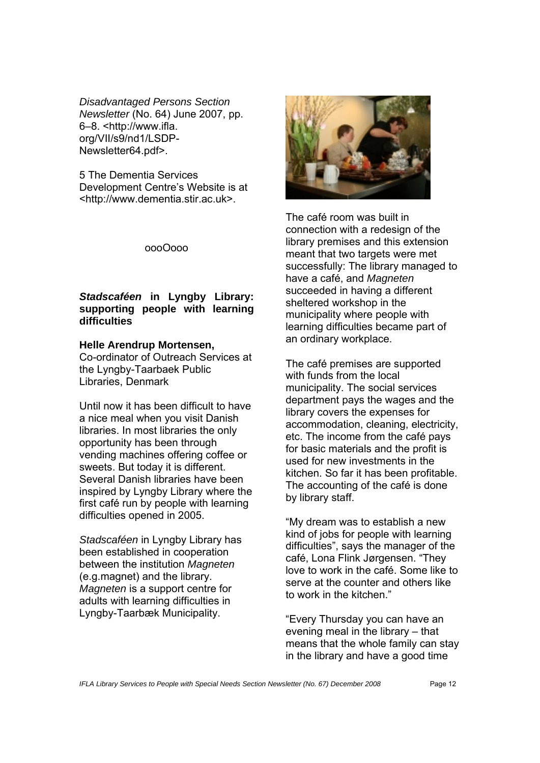*Disadvantaged Persons Section Newsletter* (No. 64) June 2007, pp. 6–8. <http://www.ifla. org/VII/s9/nd1/LSDP-Newsletter64.pdf>.

5 The Dementia Services Development Centre's Website is at <http://www.dementia.stir.ac.uk>.

oooOooo

# *Stadscaféen* **in Lyngby Library: supporting people with learning difficulties**

#### **Helle Arendrup Mortensen,**

Co-ordinator of Outreach Services at the Lyngby-Taarbaek Public Libraries, Denmark

Until now it has been difficult to have a nice meal when you visit Danish libraries. In most libraries the only opportunity has been through vending machines offering coffee or sweets. But today it is different. Several Danish libraries have been inspired by Lyngby Library where the first café run by people with learning difficulties opened in 2005.

*Stadscaféen* in Lyngby Library has been established in cooperation between the institution *Magneten*  (e.g.magnet) and the library. *Magneten* is a support centre for adults with learning difficulties in Lyngby-Taarbæk Municipality.



The café room was built in connection with a redesign of the library premises and this extension meant that two targets were met successfully: The library managed to have a café, and *Magneten* succeeded in having a different sheltered workshop in the municipality where people with learning difficulties became part of an ordinary workplace.

The café premises are supported with funds from the local municipality. The social services department pays the wages and the library covers the expenses for accommodation, cleaning, electricity, etc. The income from the café pays for basic materials and the profit is used for new investments in the kitchen. So far it has been profitable. The accounting of the café is done by library staff.

"My dream was to establish a new kind of jobs for people with learning difficulties", says the manager of the café, Lona Flink Jørgensen. "They love to work in the café. Some like to serve at the counter and others like to work in the kitchen."

"Every Thursday you can have an evening meal in the library – that means that the whole family can stay in the library and have a good time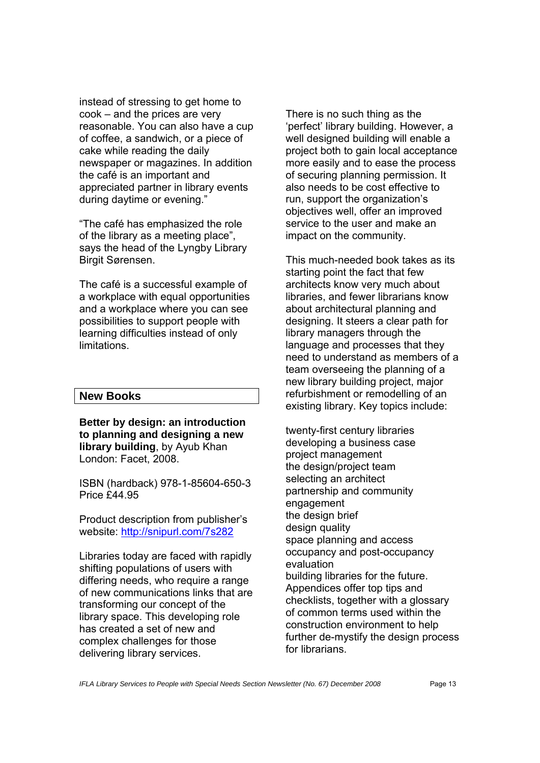instead of stressing to get home to cook – and the prices are very reasonable. You can also have a cup of coffee, a sandwich, or a piece of cake while reading the daily newspaper or magazines. In addition the café is an important and appreciated partner in library events during daytime or evening."

"The café has emphasized the role of the library as a meeting place", says the head of the Lyngby Library Birgit Sørensen.

The café is a successful example of a workplace with equal opportunities and a workplace where you can see possibilities to support people with learning difficulties instead of only **limitations** 

# **New Books**

**Better by design: an introduction to planning and designing a new library building**, by Ayub Khan London: Facet, 2008.

ISBN (hardback) 978-1-85604-650-3 Price £44.95

Product description from publisher's website: http://snipurl.com/7s282

Libraries today are faced with rapidly shifting populations of users with differing needs, who require a range of new communications links that are transforming our concept of the library space. This developing role has created a set of new and complex challenges for those delivering library services.

There is no such thing as the 'perfect' library building. However, a well designed building will enable a project both to gain local acceptance more easily and to ease the process of securing planning permission. It also needs to be cost effective to run, support the organization's objectives well, offer an improved service to the user and make an impact on the community.

This much-needed book takes as its starting point the fact that few architects know very much about libraries, and fewer librarians know about architectural planning and designing. It steers a clear path for library managers through the language and processes that they need to understand as members of a team overseeing the planning of a new library building project, major refurbishment or remodelling of an existing library. Key topics include:

twenty-first century libraries developing a business case project management the design/project team selecting an architect partnership and community engagement the design brief design quality space planning and access occupancy and post-occupancy evaluation building libraries for the future. Appendices offer top tips and checklists, together with a glossary of common terms used within the construction environment to help further de-mystify the design process for librarians.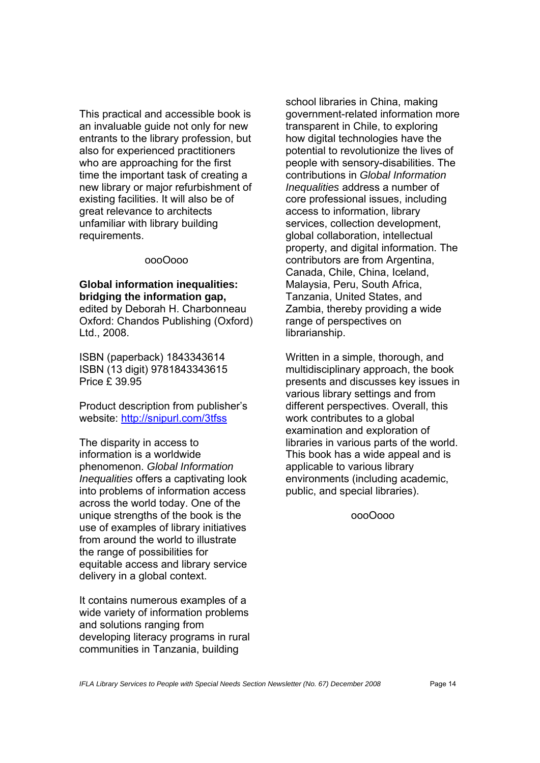This practical and accessible book is an invaluable guide not only for new entrants to the library profession, but also for experienced practitioners who are approaching for the first time the important task of creating a new library or major refurbishment of existing facilities. It will also be of great relevance to architects unfamiliar with library building requirements.

#### oooOooo

#### **Global information inequalities: bridging the information gap,** edited by Deborah H. Charbonneau Oxford: Chandos Publishing (Oxford) Ltd., 2008.

ISBN (paperback) 1843343614 ISBN (13 digit) 9781843343615 Price £ 39.95

Product description from publisher's website: http://snipurl.com/3tfss

The disparity in access to information is a worldwide phenomenon. *Global Information Inequalities* offers a captivating look into problems of information access across the world today. One of the unique strengths of the book is the use of examples of library initiatives from around the world to illustrate the range of possibilities for equitable access and library service delivery in a global context.

It contains numerous examples of a wide variety of information problems and solutions ranging from developing literacy programs in rural communities in Tanzania, building

school libraries in China, making government-related information more transparent in Chile, to exploring how digital technologies have the potential to revolutionize the lives of people with sensory-disabilities. The contributions in *Global Information Inequalities* address a number of core professional issues, including access to information, library services, collection development, global collaboration, intellectual property, and digital information. The contributors are from Argentina, Canada, Chile, China, Iceland, Malaysia, Peru, South Africa, Tanzania, United States, and Zambia, thereby providing a wide range of perspectives on librarianship.

Written in a simple, thorough, and multidisciplinary approach, the book presents and discusses key issues in various library settings and from different perspectives. Overall, this work contributes to a global examination and exploration of libraries in various parts of the world. This book has a wide appeal and is applicable to various library environments (including academic, public, and special libraries).

oooOooo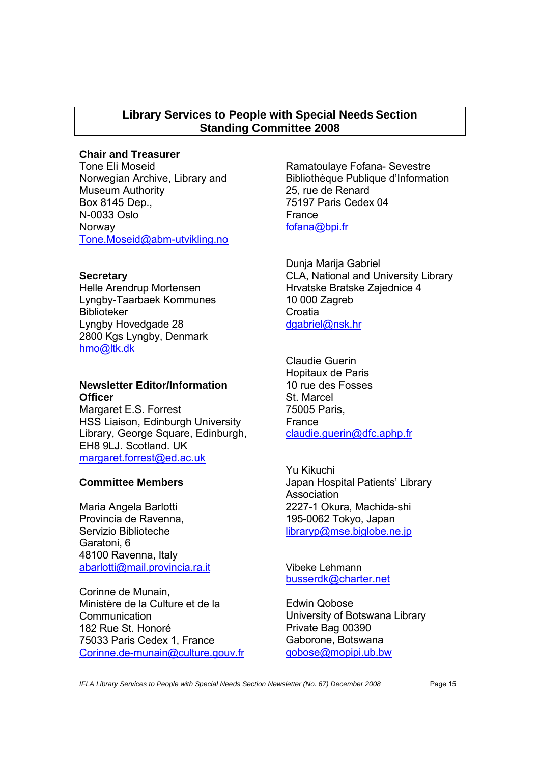# **Library Services to People with Special Needs Section Standing Committee 2008**

# **Chair and Treasurer**

Tone Eli Moseid Norwegian Archive, Library and Museum Authority Box 8145 Dep., N-0033 Oslo Norway Tone.Moseid@abm-utvikling.no

#### **Secretary**

Helle Arendrup Mortensen Lyngby-Taarbaek Kommunes Biblioteker Lyngby Hovedgade 28 2800 Kgs Lyngby, Denmark hmo@ltk.dk

# **Newsletter Editor/Information Officer**

Margaret E.S. Forrest HSS Liaison, Edinburgh University Library, George Square, Edinburgh, EH8 9LJ. Scotland. UK margaret.forrest@ed.ac.uk

# **Committee Members**

Maria Angela Barlotti Provincia de Ravenna, Servizio Biblioteche Garatoni, 6 48100 Ravenna, Italy abarlotti@mail.provincia.ra.it

Corinne de Munain, Ministère de la Culture et de la **Communication** 182 Rue St. Honoré 75033 Paris Cedex 1, France Corinne.de-munain@culture.gouv.fr

Ramatoulaye Fofana- Sevestre Bibliothèque Publique d'Information 25, rue de Renard 75197 Paris Cedex 04 France fofana@bpi.fr

Dunja Marija Gabriel CLA, National and University Library Hrvatske Bratske Zajednice 4 10 000 Zagreb **Croatia** dgabriel@nsk.hr

Claudie Guerin Hopitaux de Paris 10 rue des Fosses St. Marcel 75005 Paris, France claudie.guerin@dfc.aphp.fr

Yu Kikuchi Japan Hospital Patients' Library Association 2227-1 Okura, Machida-shi 195-0062 Tokyo, Japan libraryp@mse.biglobe.ne.jp

Vibeke Lehmann busserdk@charter.net

Edwin Qobose University of Botswana Library Private Bag 00390 Gaborone, Botswana qobose@mopipi.ub.bw